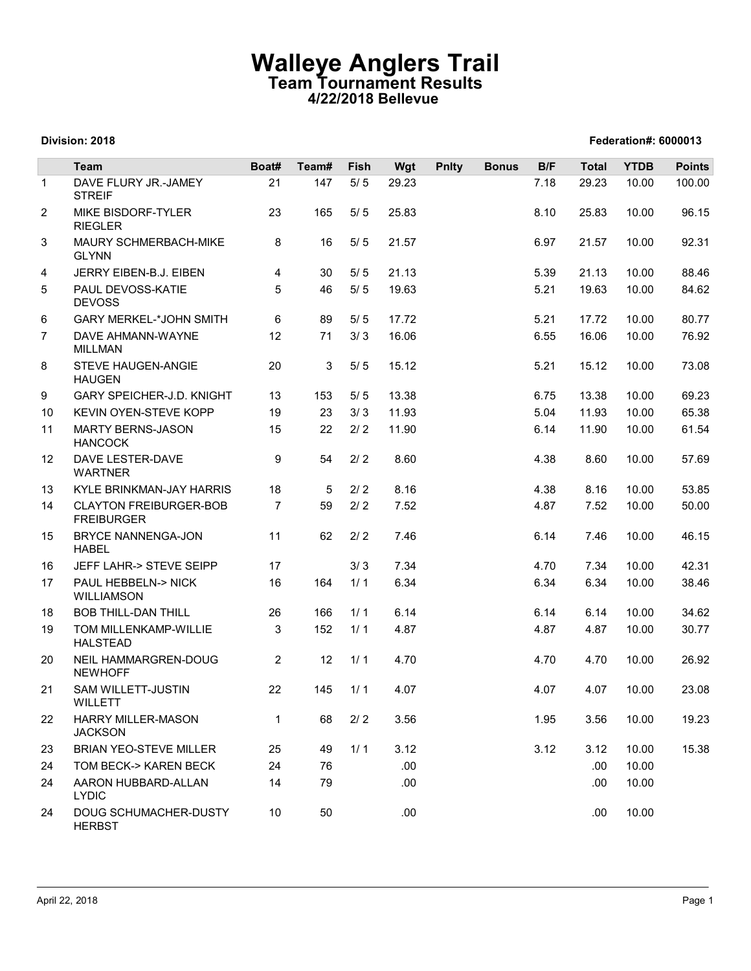## Walleye Anglers Trail Team Tournament Results 4/22/2018 Bellevue

|                | Division: 2018                                                   |                      |                   |                | 4/22/2018 Bellevue | <b>Team Tournament Results</b> |              |              |                       | Federation#: 6000013 |                         |
|----------------|------------------------------------------------------------------|----------------------|-------------------|----------------|--------------------|--------------------------------|--------------|--------------|-----------------------|----------------------|-------------------------|
|                |                                                                  |                      |                   |                |                    |                                |              |              |                       |                      |                         |
| $\overline{1}$ | Team<br>DAVE FLURY JR.-JAMEY                                     | Boat#<br>21          | Team#<br>147      | Fish<br>$5/5$  | Wgt<br>29.23       | <b>Pnlty</b>                   | <b>Bonus</b> | B/F<br>7.18  | <b>Total</b><br>29.23 | <b>YTDB</b><br>10.00 | <b>Points</b><br>100.00 |
| 2              | <b>STREIF</b><br>MIKE BISDORF-TYLER                              | 23                   | 165               | 5/5            | 25.83              |                                |              | 8.10         | 25.83                 | 10.00                | 96.15                   |
| 3              | <b>RIEGLER</b><br>MAURY SCHMERBACH-MIKE                          | 8                    | 16                | 5/5            | 21.57              |                                |              | 6.97         | 21.57                 | 10.00                | 92.31                   |
|                | <b>GLYNN</b>                                                     | 4                    |                   |                |                    |                                |              | 5.39         |                       |                      |                         |
| 4<br>5         | JERRY EIBEN-B.J. EIBEN<br>PAUL DEVOSS-KATIE<br><b>DEVOSS</b>     | 5                    | 30<br>46          | 5/5<br>$5/5$   | 21.13<br>19.63     |                                |              | 5.21         | 21.13<br>19.63        | 10.00<br>10.00       | 88.46<br>84.62          |
| 6              | <b>GARY MERKEL-*JOHN SMITH</b>                                   | 6                    | 89                | 5/5            | 17.72              |                                |              | 5.21         | 17.72                 | 10.00                | 80.77                   |
| $\overline{7}$ | DAVE AHMANN-WAYNE<br><b>MILLMAN</b>                              | 12                   | 71                | 3/3            | 16.06              |                                |              | 6.55         | 16.06                 | 10.00                | 76.92                   |
| 8              | STEVE HAUGEN-ANGIE<br><b>HAUGEN</b>                              | 20                   | 3                 | 5/5            | 15.12              |                                |              | 5.21         | 15.12                 | 10.00                | 73.08                   |
| 9              | <b>GARY SPEICHER-J.D. KNIGHT</b>                                 | 13                   | 153               | 5/5            | 13.38              |                                |              | 6.75         | 13.38                 | 10.00                | 69.23                   |
| 10             | KEVIN OYEN-STEVE KOPP                                            | 19                   |                   | $23 \t 3/3$    | 11.93              |                                |              | 5.04         | 11.93                 | 10.00                | 65.38                   |
| 11<br>12       | <b>MARTY BERNS-JASON</b><br><b>HANCOCK</b><br>DAVE LESTER-DAVE   | 15<br>9              | 22<br>54          | 2/2            | 11.90              |                                |              | 6.14         | 11.90                 | 10.00                | 61.54                   |
|                | <b>WARTNER</b>                                                   |                      |                   | $2/2$          | 8.60               |                                |              | 4.38         | 8.60                  | 10.00                | 57.69                   |
| 13<br>14       | <b>KYLE BRINKMAN-JAY HARRIS</b><br><b>CLAYTON FREIBURGER-BOB</b> | 18<br>$\overline{7}$ | $5^{\circ}$<br>59 | $2/2$<br>$2/2$ | 8.16<br>7.52       |                                |              | 4.38<br>4.87 | 8.16<br>7.52          | 10.00<br>10.00       | 53.85<br>50.00          |
| 15             | <b>FREIBURGER</b><br>BRYCE NANNENGA-JON                          | 11                   | 62                | $2/2$          | 7.46               |                                |              | 6.14         | 7.46                  | 10.00                | 46.15                   |
|                | <b>HABEL</b>                                                     |                      |                   |                |                    |                                |              |              |                       |                      |                         |
| 16             | JEFF LAHR-> STEVE SEIPP                                          | 17                   |                   | 3/3            | 7.34               |                                |              | 4.70         | 7.34                  | 10.00                | 42.31                   |
| 17             | PAUL HEBBELN-> NICK<br><b>WILLIAMSON</b>                         | 16                   | 164               | 1/1            | 6.34               |                                |              | 6.34         | 6.34                  | 10.00                | 38.46                   |
| 18             | <b>BOB THILL-DAN THILL</b>                                       | 26                   | 166               | 1/1            | 6.14               |                                |              | 6.14         | 6.14                  | 10.00                | 34.62                   |
| 19             | TOM MILLENKAMP-WILLIE<br><b>HALSTEAD</b>                         | 3                    | 152               | 1/1            | 4.87               |                                |              | 4.87         | 4.87                  | 10.00                | 30.77                   |
| 20<br>21       | NEIL HAMMARGREN-DOUG<br><b>NEWHOFF</b><br>SAM WILLETT-JUSTIN     | $\overline{2}$<br>22 | 12<br>145         | 1/1<br>1/1     | 4.70<br>4.07       |                                |              | 4.70<br>4.07 | 4.70<br>4.07          | 10.00<br>10.00       | 26.92<br>23.08          |
| 22             | <b>WILLETT</b><br><b>HARRY MILLER-MASON</b>                      | $\mathbf{1}$         | 68                | $2/2$          | 3.56               |                                |              | 1.95         | 3.56                  | 10.00                | 19.23                   |
|                | <b>JACKSON</b>                                                   |                      |                   |                |                    |                                |              |              |                       |                      |                         |
| 23             | <b>BRIAN YEO-STEVE MILLER</b>                                    | 25                   | 49                | 1/1            | 3.12               |                                |              | 3.12         | 3.12                  | 10.00                | 15.38                   |
| 24<br>24       | TOM BECK-> KAREN BECK<br>AARON HUBBARD-ALLAN<br><b>LYDIC</b>     | 24<br>14             | 76<br>79          |                | .00<br>.00         |                                |              |              | .00<br>.00.           | 10.00<br>10.00       |                         |
| 24             | DOUG SCHUMACHER-DUSTY<br><b>HERBST</b>                           | 10                   | 50                |                | .00                |                                |              |              | .00.                  | 10.00                |                         |

#### Division: 2018 Federation#: 6000013